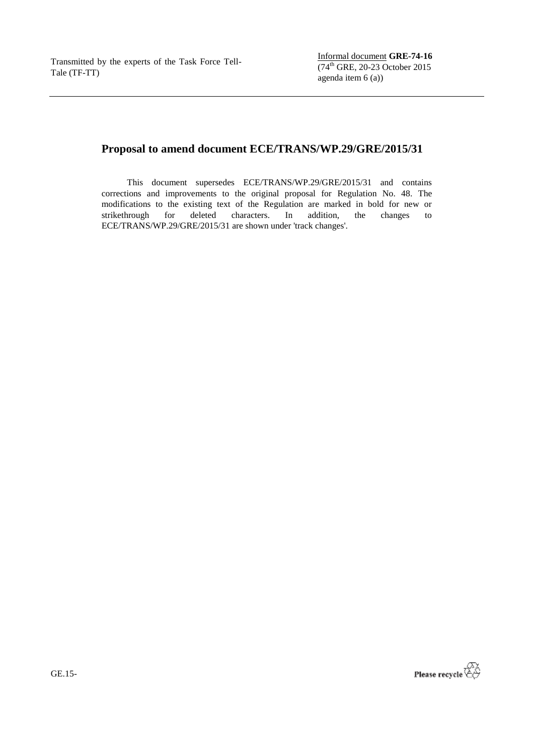# **Proposal to amend document ECE/TRANS/WP.29/GRE/2015/31**

This document supersedes ECE/TRANS/WP.29/GRE/2015/31 and contains corrections and improvements to the original proposal for Regulation No. 48. The modifications to the existing text of the Regulation are marked in bold for new or strikethrough for deleted characters. In addition, the changes to for deleted characters. In addition, ECE/TRANS/WP.29/GRE/2015/31 are shown under 'track changes'.



GE.15-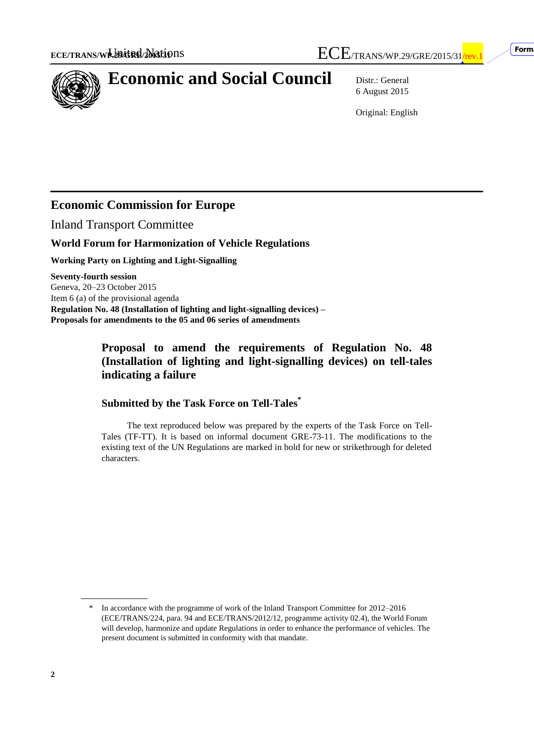

# **Economic and Social Council** Distr.: General

6 August 2015

Original: English

# **Economic Commission for Europe**

Inland Transport Committee

#### **World Forum for Harmonization of Vehicle Regulations**

**Working Party on Lighting and Light-Signalling**

**Seventy-fourth session** Geneva, 20–23 October 2015 Item 6 (a) of the provisional agenda **Regulation No. 48 (Installation of lighting and light-signalling devices) – Proposals for amendments to the 05 and 06 series of amendments**

### **Proposal to amend the requirements of Regulation No. 48 (Installation of lighting and light-signalling devices) on tell-tales indicating a failure**

#### **Submitted by the Task Force on Tell-Tales\***

The text reproduced below was prepared by the experts of the Task Force on Tell-Tales (TF-TT). It is based on informal document GRE-73-11. The modifications to the existing text of the UN Regulations are marked in bold for new or strikethrough for deleted characters.

In accordance with the programme of work of the Inland Transport Committee for 2012–2016 (ECE/TRANS/224, para. 94 and ECE/TRANS/2012/12, programme activity 02.4), the World Forum will develop, harmonize and update Regulations in order to enhance the performance of vehicles. The present document is submitted in conformity with that mandate.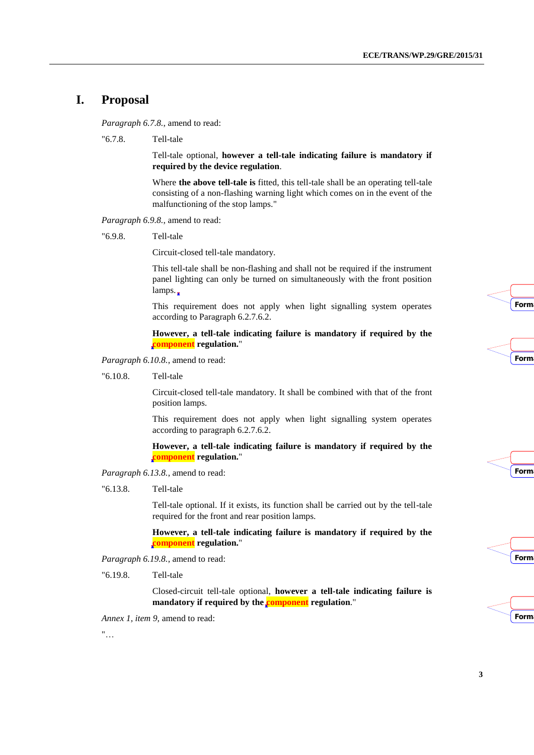#### **I. Proposal**

*Paragraph 6.7.8.*, amend to read:

"6.7.8. Tell-tale

Tell-tale optional, **however a tell-tale indicating failure is mandatory if required by the device regulation**.

Where **the above tell-tale is** fitted, this tell-tale shall be an operating tell-tale consisting of a non-flashing warning light which comes on in the event of the malfunctioning of the stop lamps."

*Paragraph 6.9.8.*, amend to read:

"6.9.8. Tell-tale

Circuit-closed tell-tale mandatory.

This tell-tale shall be non-flashing and shall not be required if the instrument panel lighting can only be turned on simultaneously with the front position lamps.

This requirement does not apply when light signalling system operates according to Paragraph 6.2.7.6.2.

#### **However, a tell-tale indicating failure is mandatory if required by the component regulation.**"

*Paragraph 6.10.8.*, amend to read:

"6.10.8. Tell-tale

Circuit-closed tell-tale mandatory. It shall be combined with that of the front position lamps.

This requirement does not apply when light signalling system operates according to paragraph 6.2.7.6.2.

**However, a tell-tale indicating failure is mandatory if required by the component regulation.**"

*Paragraph 6.13.8.*, amend to read:

"6.13.8. Tell-tale

Tell-tale optional. If it exists, its function shall be carried out by the tell-tale required for the front and rear position lamps.

**However, a tell-tale indicating failure is mandatory if required by the component regulation.**"

*Paragraph 6.19.8.*, amend to read:

"6.19.8. Tell-tale

Closed-circuit tell-tale optional, **however a tell-tale indicating failure is**  mandatory if required by the **component** regulation."

*Annex 1, item 9,* amend to read:

"…









| <b>Form</b> |  |  |
|-------------|--|--|
|             |  |  |